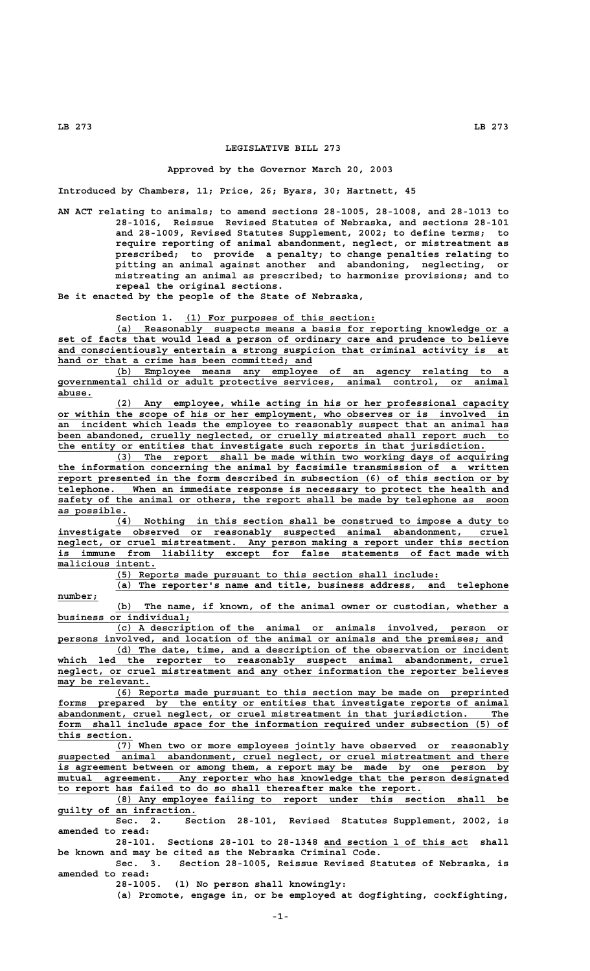## **LEGISLATIVE BILL 273**

## **Approved by the Governor March 20, 2003**

**Introduced by Chambers, 11; Price, 26; Byars, 30; Hartnett, 45**

**AN ACT relating to animals; to amend sections 28-1005, 28-1008, and 28-1013 to 28-1016, Reissue Revised Statutes of Nebraska, and sections 28-101 and 28-1009, Revised Statutes Supplement, 2002; to define terms; to require reporting of animal abandonment, neglect, or mistreatment as prescribed; to provide a penalty; to change penalties relating to pitting an animal against another and abandoning, neglecting, or mistreating an animal as prescribed; to harmonize provisions; and to repeal the original sections.**

**Be it enacted by the people of the State of Nebraska,**

Section 1. (1) For purposes of this section:

 **\_\_\_\_\_\_\_\_\_\_\_\_\_\_\_\_\_\_\_\_\_\_\_\_\_\_\_\_\_\_\_\_\_\_\_\_\_\_\_\_\_\_\_\_\_\_\_\_\_\_\_\_\_\_\_\_\_\_\_\_\_\_\_\_\_\_\_\_ (a) Reasonably suspects means a basis for reporting knowledge or a** set of facts that would lead a person of ordinary care and prudence to believe  **\_\_\_\_\_\_\_\_\_\_\_\_\_\_\_\_\_\_\_\_\_\_\_\_\_\_\_\_\_\_\_\_\_\_\_\_\_\_\_\_\_\_\_\_\_\_\_\_\_\_\_\_\_\_\_\_\_\_\_\_\_\_\_\_\_\_\_\_\_\_\_\_\_\_\_\_\_\_ and conscientiously entertain a strong suspicion that criminal activity is at** hand or that a crime has been committed; and

 **\_\_\_\_\_\_\_\_\_\_\_\_\_\_\_\_\_\_\_\_\_\_\_\_\_\_\_\_\_\_\_\_\_\_\_\_\_\_\_\_\_\_\_\_\_\_\_\_\_\_\_\_\_\_\_\_\_\_\_\_\_\_\_\_\_\_\_\_ (b) Employee means any employee of an agency relating to a \_\_\_\_\_\_\_\_\_\_\_\_\_\_\_\_\_\_\_\_\_\_\_\_\_\_\_\_\_\_\_\_\_\_\_\_\_\_\_\_\_\_\_\_\_\_\_\_\_\_\_\_\_\_\_\_\_\_\_\_\_\_\_\_\_\_\_\_\_\_\_\_\_\_\_\_\_\_ governmental child or adult protective services, animal control, or animal abuse.\_\_\_\_\_\_**

 **\_\_\_\_\_\_\_\_\_\_\_\_\_\_\_\_\_\_\_\_\_\_\_\_\_\_\_\_\_\_\_\_\_\_\_\_\_\_\_\_\_\_\_\_\_\_\_\_\_\_\_\_\_\_\_\_\_\_\_\_\_\_\_\_\_\_\_\_ (2) Any employee, while acting in his or her professional capacity \_\_\_\_\_\_\_\_\_\_\_\_\_\_\_\_\_\_\_\_\_\_\_\_\_\_\_\_\_\_\_\_\_\_\_\_\_\_\_\_\_\_\_\_\_\_\_\_\_\_\_\_\_\_\_\_\_\_\_\_\_\_\_\_\_\_\_\_\_\_\_\_\_\_\_\_\_\_ or within the scope of his or her employment, who observes or is involved in \_\_\_\_\_\_\_\_\_\_\_\_\_\_\_\_\_\_\_\_\_\_\_\_\_\_\_\_\_\_\_\_\_\_\_\_\_\_\_\_\_\_\_\_\_\_\_\_\_\_\_\_\_\_\_\_\_\_\_\_\_\_\_\_\_\_\_\_\_\_\_\_\_\_\_\_\_\_ an incident which leads the employee to reasonably suspect that an animal has \_\_\_\_\_\_\_\_\_\_\_\_\_\_\_\_\_\_\_\_\_\_\_\_\_\_\_\_\_\_\_\_\_\_\_\_\_\_\_\_\_\_\_\_\_\_\_\_\_\_\_\_\_\_\_\_\_\_\_\_\_\_\_\_\_\_\_\_\_\_\_\_\_\_\_\_\_\_ been abandoned, cruelly neglected, or cruelly mistreated shall report such to \_\_\_\_\_\_\_\_\_\_\_\_\_\_\_\_\_\_\_\_\_\_\_\_\_\_\_\_\_\_\_\_\_\_\_\_\_\_\_\_\_\_\_\_\_\_\_\_\_\_\_\_\_\_\_\_\_\_\_\_\_\_\_\_\_\_\_\_\_\_\_\_\_\_ the entity or entities that investigate such reports in that jurisdiction.**

 **\_\_\_\_\_\_\_\_\_\_\_\_\_\_\_\_\_\_\_\_\_\_\_\_\_\_\_\_\_\_\_\_\_\_\_\_\_\_\_\_\_\_\_\_\_\_\_\_\_\_\_\_\_\_\_\_\_\_\_\_\_\_\_\_\_\_\_\_ (3) The report shall be made within two working days of acquiring \_\_\_\_\_\_\_\_\_\_\_\_\_\_\_\_\_\_\_\_\_\_\_\_\_\_\_\_\_\_\_\_\_\_\_\_\_\_\_\_\_\_\_\_\_\_\_\_\_\_\_\_\_\_\_\_\_\_\_\_\_\_\_\_\_\_\_\_\_\_\_\_\_\_\_\_\_\_ the information concerning the animal by facsimile transmission of a written \_\_\_\_\_\_\_\_\_\_\_\_\_\_\_\_\_\_\_\_\_\_\_\_\_\_\_\_\_\_\_\_\_\_\_\_\_\_\_\_\_\_\_\_\_\_\_\_\_\_\_\_\_\_\_\_\_\_\_\_\_\_\_\_\_\_\_\_\_\_\_\_\_\_\_\_\_\_ report presented in the form described in subsection (6) of this section or by \_\_\_\_\_\_\_\_\_\_\_\_\_\_\_\_\_\_\_\_\_\_\_\_\_\_\_\_\_\_\_\_\_\_\_\_\_\_\_\_\_\_\_\_\_\_\_\_\_\_\_\_\_\_\_\_\_\_\_\_\_\_\_\_\_\_\_\_\_\_\_\_\_\_\_\_\_\_ telephone. When an immediate response is necessary to protect the health and**  $safety$  of the animal or others, the report shall be made by telephone as soon as possible.<br>(4)

Nothing in this section shall be construed to impose a duty to  **\_\_\_\_\_\_\_\_\_\_\_\_\_\_\_\_\_\_\_\_\_\_\_\_\_\_\_\_\_\_\_\_\_\_\_\_\_\_\_\_\_\_\_\_\_\_\_\_\_\_\_\_\_\_\_\_\_\_\_\_\_\_\_\_\_\_\_\_\_\_\_\_\_\_\_\_\_\_ investigate observed or reasonably suspected animal abandonment, cruel**  $neglect,$  or cruel mistreatment. Any person making a report under this section  **\_\_\_\_\_\_\_\_\_\_\_\_\_\_\_\_\_\_\_\_\_\_\_\_\_\_\_\_\_\_\_\_\_\_\_\_\_\_\_\_\_\_\_\_\_\_\_\_\_\_\_\_\_\_\_\_\_\_\_\_\_\_\_\_\_\_\_\_\_\_\_\_\_\_\_\_\_\_ is immune from liability except for false statements of fact made with**  $\overline{\texttt{malicious intent.}}$ 

 **\_\_\_\_\_\_\_\_\_\_\_\_\_\_\_\_\_\_\_\_\_\_\_\_\_\_\_\_\_\_\_\_\_\_\_\_\_\_\_\_\_\_\_\_\_\_\_\_\_\_\_\_\_\_\_\_ (5) Reports made pursuant to this section shall include:**

 **\_\_\_\_\_\_\_\_\_\_\_\_\_\_\_\_\_\_\_\_\_\_\_\_\_\_\_\_\_\_\_\_\_\_\_\_\_\_\_\_\_\_\_\_\_\_\_\_\_\_\_\_\_\_\_\_\_\_\_\_\_\_\_\_\_\_\_\_ (a) The reporter's name and title, business address, and telephone** number;

 **\_\_\_\_\_\_\_\_\_\_\_\_\_\_\_\_\_\_\_\_\_\_\_\_\_\_\_\_\_\_\_\_\_\_\_\_\_\_\_\_\_\_\_\_\_\_\_\_\_\_\_\_\_\_\_\_\_\_\_\_\_\_\_\_\_\_\_\_ (b) The name, if known, of the animal owner or custodian, whether a \_\_\_\_\_\_\_\_\_\_\_\_\_\_\_\_\_\_\_\_\_\_\_ business or individual;**

 **\_\_\_\_\_\_\_\_\_\_\_\_\_\_\_\_\_\_\_\_\_\_\_\_\_\_\_\_\_\_\_\_\_\_\_\_\_\_\_\_\_\_\_\_\_\_\_\_\_\_\_\_\_\_\_\_\_\_\_\_\_\_\_\_\_\_\_\_ (c) A description of the animal or animals involved, person or \_\_\_\_\_\_\_\_\_\_\_\_\_\_\_\_\_\_\_\_\_\_\_\_\_\_\_\_\_\_\_\_\_\_\_\_\_\_\_\_\_\_\_\_\_\_\_\_\_\_\_\_\_\_\_\_\_\_\_\_\_\_\_\_\_\_\_\_\_\_\_\_\_\_\_\_\_ persons involved, and location of the animal or animals and the premises; and**

 **\_\_\_\_\_\_\_\_\_\_\_\_\_\_\_\_\_\_\_\_\_\_\_\_\_\_\_\_\_\_\_\_\_\_\_\_\_\_\_\_\_\_\_\_\_\_\_\_\_\_\_\_\_\_\_\_\_\_\_\_\_\_\_\_\_\_\_\_ (d) The date, time, and a description of the observation or incident \_\_\_\_\_\_\_\_\_\_\_\_\_\_\_\_\_\_\_\_\_\_\_\_\_\_\_\_\_\_\_\_\_\_\_\_\_\_\_\_\_\_\_\_\_\_\_\_\_\_\_\_\_\_\_\_\_\_\_\_\_\_\_\_\_\_\_\_\_\_\_\_\_\_\_\_\_\_ which led the reporter to reasonably suspect animal abandonment, cruel \_\_\_\_\_\_\_\_\_\_\_\_\_\_\_\_\_\_\_\_\_\_\_\_\_\_\_\_\_\_\_\_\_\_\_\_\_\_\_\_\_\_\_\_\_\_\_\_\_\_\_\_\_\_\_\_\_\_\_\_\_\_\_\_\_\_\_\_\_\_\_\_\_\_\_\_\_\_ neglect, or cruel mistreatment and any other information the reporter believes \_\_\_\_\_\_\_\_\_\_\_\_\_\_\_\_ may be relevant.**

 **\_\_\_\_\_\_\_\_\_\_\_\_\_\_\_\_\_\_\_\_\_\_\_\_\_\_\_\_\_\_\_\_\_\_\_\_\_\_\_\_\_\_\_\_\_\_\_\_\_\_\_\_\_\_\_\_\_\_\_\_\_\_\_\_\_\_\_\_ (6) Reports made pursuant to this section may be made on preprinted** forms prepared by the entity or entities that investigate reports of animal  **\_\_\_\_\_\_\_\_\_\_\_\_\_\_\_\_\_\_\_\_\_\_\_\_\_\_\_\_\_\_\_\_\_\_\_\_\_\_\_\_\_\_\_\_\_\_\_\_\_\_\_\_\_\_\_\_\_\_\_\_\_\_\_\_\_\_\_\_\_\_\_\_\_\_\_\_\_\_ abandonment, cruel neglect, or cruel mistreatment in that jurisdiction. The** form shall include space for the information required under subsection (5) of this section.

 **\_\_\_\_\_\_\_\_\_\_\_\_\_\_\_\_\_\_\_\_\_\_\_\_\_\_\_\_\_\_\_\_\_\_\_\_\_\_\_\_\_\_\_\_\_\_\_\_\_\_\_\_\_\_\_\_\_\_\_\_\_\_\_\_\_\_\_\_ (7) When two or more employees jointly have observed or reasonably \_\_\_\_\_\_\_\_\_\_\_\_\_\_\_\_\_\_\_\_\_\_\_\_\_\_\_\_\_\_\_\_\_\_\_\_\_\_\_\_\_\_\_\_\_\_\_\_\_\_\_\_\_\_\_\_\_\_\_\_\_\_\_\_\_\_\_\_\_\_\_\_\_\_\_\_\_\_ suspected animal abandonment, cruel neglect, or cruel mistreatment and there \_\_\_\_\_\_\_\_\_\_\_\_\_\_\_\_\_\_\_\_\_\_\_\_\_\_\_\_\_\_\_\_\_\_\_\_\_\_\_\_\_\_\_\_\_\_\_\_\_\_\_\_\_\_\_\_\_\_\_\_\_\_\_\_\_\_\_\_\_\_\_\_\_\_\_\_\_\_ is agreement between or among them, a report may be made by one person by**  $mu$ utual agreement. Any reporter who has knowledge that the person designated  **\_\_\_\_\_\_\_\_\_\_\_\_\_\_\_\_\_\_\_\_\_\_\_\_\_\_\_\_\_\_\_\_\_\_\_\_\_\_\_\_\_\_\_\_\_\_\_\_\_\_\_\_\_\_\_\_\_\_\_\_\_\_\_ to report has failed to do so shall thereafter make the report.**

 **\_\_\_\_\_\_\_\_\_\_\_\_\_\_\_\_\_\_\_\_\_\_\_\_\_\_\_\_\_\_\_\_\_\_\_\_\_\_\_\_\_\_\_\_\_\_\_\_\_\_\_\_\_\_\_\_\_\_\_\_\_\_\_\_\_\_\_\_ (8) Any employee failing to report under this section shall be \_\_\_\_\_\_\_\_\_\_\_\_\_\_\_\_\_\_\_\_\_\_\_\_ guilty of an infraction.**

**Sec. 2. Section 28-101, Revised Statutes Supplement, 2002, is amended to read:**

**28-101. Sections 28-101 to 28-1348 and section 1 of this act shall \_\_\_\_\_\_\_\_\_\_\_\_\_\_\_\_\_\_\_\_\_\_\_\_\_ be known and may be cited as the Nebraska Criminal Code.**

**Sec. 3. Section 28-1005, Reissue Revised Statutes of Nebraska, is amended to read:**

**28-1005. (1) No person shall knowingly:**

**(a) Promote, engage in, or be employed at dogfighting, cockfighting,**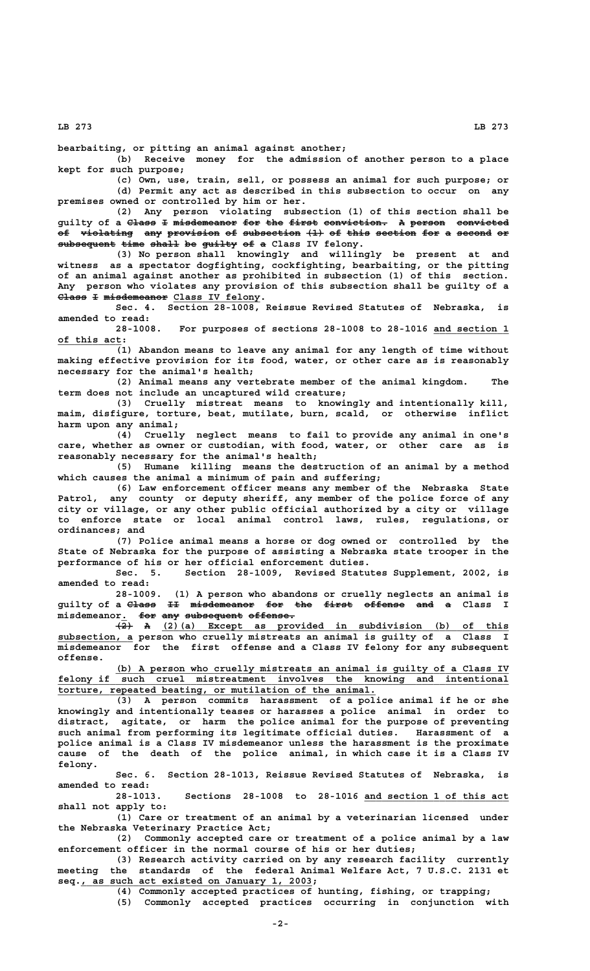**LB 273 LB 273**

**bearbaiting, or pitting an animal against another;**

**(b) Receive money for the admission of another person to a place kept for such purpose;**

**(c) Own, use, train, sell, or possess an animal for such purpose; or (d) Permit any act as described in this subsection to occur on any premises owned or controlled by him or her.**

**(2) Any person violating subsection (1) of this section shall be guilty of a Class I misdemeanor for the first conviction. A person convicted ————— — ——————————— ——— ——— ————— ——————————— — —————— ————————** of violating any provision of subsection  $(1)$  of this section for a second or subsequent time shall be guilty of a Class IV felony.

**(3) No person shall knowingly and willingly be present at and witness as a spectator dogfighting, cockfighting, bearbaiting, or the pitting of an animal against another as prohibited in subsection (1) of this section. Any person who violates any provision of this subsection shall be guilty of a Class I misdemeanor Class IV felony.** 

**Sec. 4. Section 28-1008, Reissue Revised Statutes of Nebraska, is amended to read:**

**28-1008. For purposes of sections 28-1008 to 28-1016 and section 1 \_\_\_\_\_\_\_\_\_\_\_\_\_ \_\_\_\_\_\_\_\_\_\_\_ of this act:**

**(1) Abandon means to leave any animal for any length of time without making effective provision for its food, water, or other care as is reasonably necessary for the animal's health;**

**(2) Animal means any vertebrate member of the animal kingdom. The term does not include an uncaptured wild creature;**

**(3) Cruelly mistreat means to knowingly and intentionally kill, maim, disfigure, torture, beat, mutilate, burn, scald, or otherwise inflict harm upon any animal;**

**(4) Cruelly neglect means to fail to provide any animal in one's care, whether as owner or custodian, with food, water, or other care as is reasonably necessary for the animal's health;**

**(5) Humane killing means the destruction of an animal by a method which causes the animal a minimum of pain and suffering;**

**(6) Law enforcement officer means any member of the Nebraska State Patrol, any county or deputy sheriff, any member of the police force of any city or village, or any other public official authorized by a city or village to enforce state or local animal control laws, rules, regulations, or ordinances; and**

**(7) Police animal means a horse or dog owned or controlled by the State of Nebraska for the purpose of assisting a Nebraska state trooper in the performance of his or her official enforcement duties.**

**Sec. 5. Section 28-1009, Revised Statutes Supplement, 2002, is amended to read:**

**28-1009. (1) A person who abandons or cruelly neglects an animal is guilty of a Class II misdemeanor for the first offense and a Class I ————— —— ——————————— ——— ——— ————— ——————— ——— —**

misdemeanor. <del>for any subsequent offense.</del><br>(2) (a) Except as provided in subdivision<br> **(2)** A (2)(a) Except as provided in subdivision (b) of this  **\_\_\_\_\_\_\_\_\_\_\_\_\_ subsection, a person who cruelly mistreats an animal is guilty of a Class I misdemeanor for the first offense and a Class IV felony for any subsequent offense.**

 **\_\_\_\_\_\_\_\_\_\_\_\_\_\_\_\_\_\_\_\_\_\_\_\_\_\_\_\_\_\_\_\_\_\_\_\_\_\_\_\_\_\_\_\_\_\_\_\_\_\_\_\_\_\_\_\_\_\_\_\_\_\_\_\_\_\_\_\_ (b) A person who cruelly mistreats an animal is guilty of a Class IV \_\_\_\_\_\_\_\_\_\_\_\_\_\_\_\_\_\_\_\_\_\_\_\_\_\_\_\_\_\_\_\_\_\_\_\_\_\_\_\_\_\_\_\_\_\_\_\_\_\_\_\_\_\_\_\_\_\_\_\_\_\_\_\_\_\_\_\_\_\_\_\_\_\_\_\_\_\_ felony if such cruel mistreatment involves the knowing and intentional \_\_\_\_\_\_\_\_\_\_\_\_\_\_\_\_\_\_\_\_\_\_\_\_\_\_\_\_\_\_\_\_\_\_\_\_\_\_\_\_\_\_\_\_\_\_\_\_\_\_\_\_\_\_\_ torture, repeated beating, or mutilation of the animal.**

**(3) A person commits harassment of a police animal if he or she knowingly and intentionally teases or harasses a police animal in order to distract, agitate, or harm the police animal for the purpose of preventing such animal from performing its legitimate official duties. Harassment of a police animal is a Class IV misdemeanor unless the harassment is the proximate cause of the death of the police animal, in which case it is a Class IV felony.**

**Sec. 6. Section 28-1013, Reissue Revised Statutes of Nebraska, is amended to read:**

**28-1013. Sections 28-1008 to 28-1016 and section 1 of this act \_\_\_\_\_\_\_\_\_\_\_\_\_\_\_\_\_\_\_\_\_\_\_\_\_ shall not apply to:**

**(1) Care or treatment of an animal by a veterinarian licensed under the Nebraska Veterinary Practice Act;**

**(2) Commonly accepted care or treatment of a police animal by a law enforcement officer in the normal course of his or her duties;**

**(3) Research activity carried on by any research facility currently meeting the standards of the federal Animal Welfare Act, 7 U.S.C. 2131 et \_\_\_\_\_\_\_\_\_\_\_\_\_\_\_\_\_\_\_\_\_\_\_\_\_\_\_\_\_\_\_\_\_\_\_\_\_\_\_\_ seq., as such act existed on January 1, 2003;**

**(4) Commonly accepted practices of hunting, fishing, or trapping;**

**(5) Commonly accepted practices occurring in conjunction with**